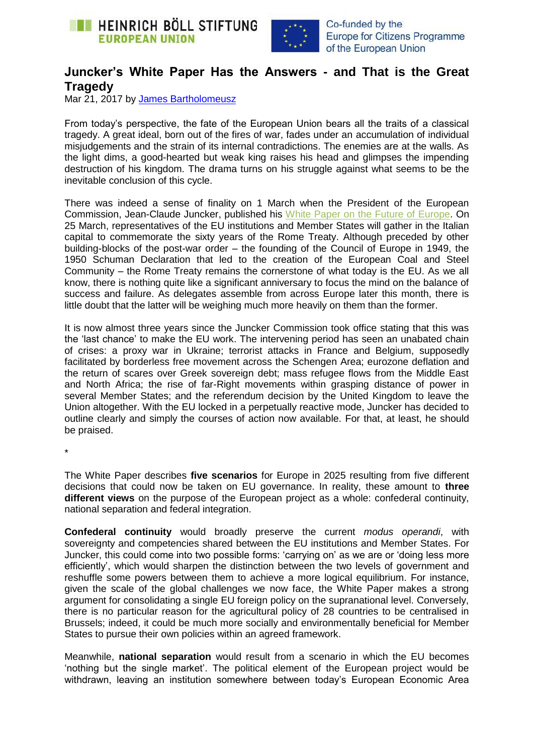



## **Juncker's White Paper Has the Answers - and That is the Great Tragedy**

Mar 21, 2017 by [James Bartholomeusz](https://eu.boell.org/en/person/james-bartholomeusz)

From today's perspective, the fate of the European Union bears all the traits of a classical tragedy. A great ideal, born out of the fires of war, fades under an accumulation of individual misjudgements and the strain of its internal contradictions. The enemies are at the walls. As the light dims, a good-hearted but weak king raises his head and glimpses the impending destruction of his kingdom. The drama turns on his struggle against what seems to be the inevitable conclusion of this cycle.

There was indeed a sense of finality on 1 March when the President of the European Commission, Jean-Claude Juncker, published his [White Paper on the Future of Europe.](http://europa.eu/rapid/press-release_IP-17-385_en.htm) On 25 March, representatives of the EU institutions and Member States will gather in the Italian capital to commemorate the sixty years of the Rome Treaty. Although preceded by other building-blocks of the post-war order – the founding of the Council of Europe in 1949, the 1950 Schuman Declaration that led to the creation of the European Coal and Steel Community – the Rome Treaty remains the cornerstone of what today is the EU. As we all know, there is nothing quite like a significant anniversary to focus the mind on the balance of success and failure. As delegates assemble from across Europe later this month, there is little doubt that the latter will be weighing much more heavily on them than the former.

It is now almost three years since the Juncker Commission took office stating that this was the 'last chance' to make the EU work. The intervening period has seen an unabated chain of crises: a proxy war in Ukraine; terrorist attacks in France and Belgium, supposedly facilitated by borderless free movement across the Schengen Area; eurozone deflation and the return of scares over Greek sovereign debt; mass refugee flows from the Middle East and North Africa; the rise of far-Right movements within grasping distance of power in several Member States; and the referendum decision by the United Kingdom to leave the Union altogether. With the EU locked in a perpetually reactive mode, Juncker has decided to outline clearly and simply the courses of action now available. For that, at least, he should be praised.

\*

The White Paper describes **five scenarios** for Europe in 2025 resulting from five different decisions that could now be taken on EU governance. In reality, these amount to **three different views** on the purpose of the European project as a whole: confederal continuity, national separation and federal integration.

**Confederal continuity** would broadly preserve the current *modus operandi*, with sovereignty and competencies shared between the EU institutions and Member States. For Juncker, this could come into two possible forms: 'carrying on' as we are or 'doing less more efficiently', which would sharpen the distinction between the two levels of government and reshuffle some powers between them to achieve a more logical equilibrium. For instance, given the scale of the global challenges we now face, the White Paper makes a strong argument for consolidating a single EU foreign policy on the supranational level. Conversely, there is no particular reason for the agricultural policy of 28 countries to be centralised in Brussels; indeed, it could be much more socially and environmentally beneficial for Member States to pursue their own policies within an agreed framework.

Meanwhile, **national separation** would result from a scenario in which the EU becomes 'nothing but the single market'. The political element of the European project would be withdrawn, leaving an institution somewhere between today's European Economic Area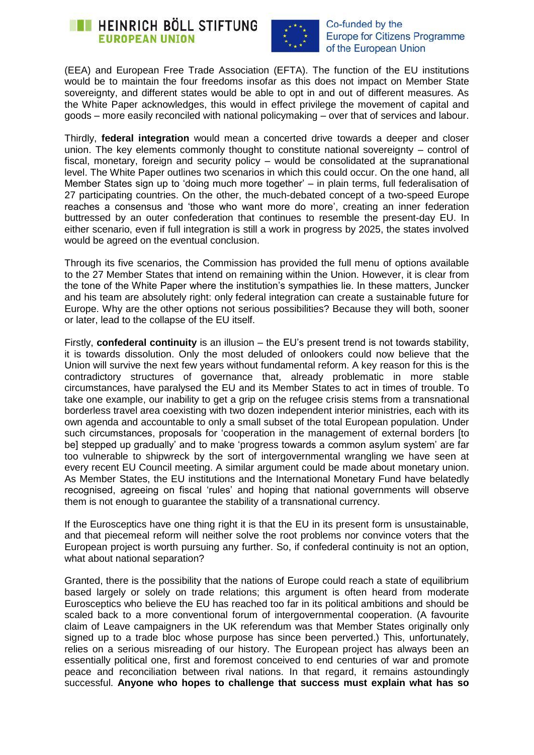



(EEA) and European Free Trade Association (EFTA). The function of the EU institutions would be to maintain the four freedoms insofar as this does not impact on Member State sovereignty, and different states would be able to opt in and out of different measures. As the White Paper acknowledges, this would in effect privilege the movement of capital and goods – more easily reconciled with national policymaking – over that of services and labour.

Thirdly, **federal integration** would mean a concerted drive towards a deeper and closer union. The key elements commonly thought to constitute national sovereignty – control of fiscal, monetary, foreign and security policy – would be consolidated at the supranational level. The White Paper outlines two scenarios in which this could occur. On the one hand, all Member States sign up to 'doing much more together' – in plain terms, full federalisation of 27 participating countries. On the other, the much-debated concept of a two-speed Europe reaches a consensus and 'those who want more do more', creating an inner federation buttressed by an outer confederation that continues to resemble the present-day EU. In either scenario, even if full integration is still a work in progress by 2025, the states involved would be agreed on the eventual conclusion.

Through its five scenarios, the Commission has provided the full menu of options available to the 27 Member States that intend on remaining within the Union. However, it is clear from the tone of the White Paper where the institution's sympathies lie. In these matters, Juncker and his team are absolutely right: only federal integration can create a sustainable future for Europe. Why are the other options not serious possibilities? Because they will both, sooner or later, lead to the collapse of the EU itself.

Firstly, **confederal continuity** is an illusion – the EU's present trend is not towards stability, it is towards dissolution. Only the most deluded of onlookers could now believe that the Union will survive the next few years without fundamental reform. A key reason for this is the contradictory structures of governance that, already problematic in more stable circumstances, have paralysed the EU and its Member States to act in times of trouble. To take one example, our inability to get a grip on the refugee crisis stems from a transnational borderless travel area coexisting with two dozen independent interior ministries, each with its own agenda and accountable to only a small subset of the total European population. Under such circumstances, proposals for 'cooperation in the management of external borders [to be] stepped up gradually' and to make 'progress towards a common asylum system' are far too vulnerable to shipwreck by the sort of intergovernmental wrangling we have seen at every recent EU Council meeting. A similar argument could be made about monetary union. As Member States, the EU institutions and the International Monetary Fund have belatedly recognised, agreeing on fiscal 'rules' and hoping that national governments will observe them is not enough to guarantee the stability of a transnational currency.

If the Eurosceptics have one thing right it is that the EU in its present form is unsustainable, and that piecemeal reform will neither solve the root problems nor convince voters that the European project is worth pursuing any further. So, if confederal continuity is not an option, what about national separation?

Granted, there is the possibility that the nations of Europe could reach a state of equilibrium based largely or solely on trade relations; this argument is often heard from moderate Eurosceptics who believe the EU has reached too far in its political ambitions and should be scaled back to a more conventional forum of intergovernmental cooperation. (A favourite claim of Leave campaigners in the UK referendum was that Member States originally only signed up to a trade bloc whose purpose has since been perverted.) This, unfortunately, relies on a serious misreading of our history. The European project has always been an essentially political one, first and foremost conceived to end centuries of war and promote peace and reconciliation between rival nations. In that regard, it remains astoundingly successful. **Anyone who hopes to challenge that success must explain what has so**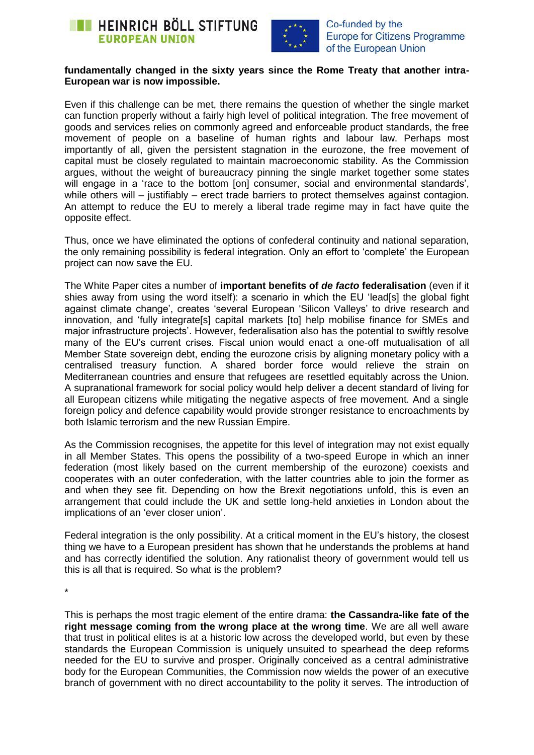



## **fundamentally changed in the sixty years since the Rome Treaty that another intra-European war is now impossible.**

Even if this challenge can be met, there remains the question of whether the single market can function properly without a fairly high level of political integration. The free movement of goods and services relies on commonly agreed and enforceable product standards, the free movement of people on a baseline of human rights and labour law. Perhaps most importantly of all, given the persistent stagnation in the eurozone, the free movement of capital must be closely regulated to maintain macroeconomic stability. As the Commission argues, without the weight of bureaucracy pinning the single market together some states will engage in a 'race to the bottom [on] consumer, social and environmental standards'. while others will – justifiably – erect trade barriers to protect themselves against contagion. An attempt to reduce the EU to merely a liberal trade regime may in fact have quite the opposite effect.

Thus, once we have eliminated the options of confederal continuity and national separation, the only remaining possibility is federal integration. Only an effort to 'complete' the European project can now save the EU.

The White Paper cites a number of **important benefits of** *de facto* **federalisation** (even if it shies away from using the word itself): a scenario in which the EU 'lead[s] the global fight against climate change', creates 'several European 'Silicon Valleys' to drive research and innovation, and 'fully integrate[s] capital markets [to] help mobilise finance for SMEs and major infrastructure projects'. However, federalisation also has the potential to swiftly resolve many of the EU's current crises. Fiscal union would enact a one-off mutualisation of all Member State sovereign debt, ending the eurozone crisis by aligning monetary policy with a centralised treasury function. A shared border force would relieve the strain on Mediterranean countries and ensure that refugees are resettled equitably across the Union. A supranational framework for social policy would help deliver a decent standard of living for all European citizens while mitigating the negative aspects of free movement. And a single foreign policy and defence capability would provide stronger resistance to encroachments by both Islamic terrorism and the new Russian Empire.

As the Commission recognises, the appetite for this level of integration may not exist equally in all Member States. This opens the possibility of a two-speed Europe in which an inner federation (most likely based on the current membership of the eurozone) coexists and cooperates with an outer confederation, with the latter countries able to join the former as and when they see fit. Depending on how the Brexit negotiations unfold, this is even an arrangement that could include the UK and settle long-held anxieties in London about the implications of an 'ever closer union'.

Federal integration is the only possibility. At a critical moment in the EU's history, the closest thing we have to a European president has shown that he understands the problems at hand and has correctly identified the solution. Any rationalist theory of government would tell us this is all that is required. So what is the problem?

\*

This is perhaps the most tragic element of the entire drama: **the Cassandra-like fate of the right message coming from the wrong place at the wrong time**. We are all well aware that trust in political elites is at a historic low across the developed world, but even by these standards the European Commission is uniquely unsuited to spearhead the deep reforms needed for the EU to survive and prosper. Originally conceived as a central administrative body for the European Communities, the Commission now wields the power of an executive branch of government with no direct accountability to the polity it serves. The introduction of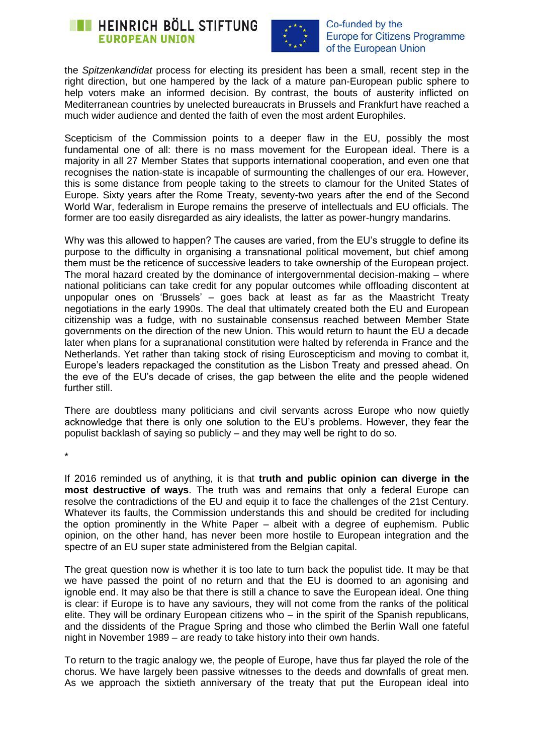



the *Spitzenkandidat* process for electing its president has been a small, recent step in the right direction, but one hampered by the lack of a mature pan-European public sphere to help voters make an informed decision. By contrast, the bouts of austerity inflicted on Mediterranean countries by unelected bureaucrats in Brussels and Frankfurt have reached a much wider audience and dented the faith of even the most ardent Europhiles.

Scepticism of the Commission points to a deeper flaw in the EU, possibly the most fundamental one of all: there is no mass movement for the European ideal. There is a majority in all 27 Member States that supports international cooperation, and even one that recognises the nation-state is incapable of surmounting the challenges of our era. However, this is some distance from people taking to the streets to clamour for the United States of Europe. Sixty years after the Rome Treaty, seventy-two years after the end of the Second World War, federalism in Europe remains the preserve of intellectuals and EU officials. The former are too easily disregarded as airy idealists, the latter as power-hungry mandarins.

Why was this allowed to happen? The causes are varied, from the EU's struggle to define its purpose to the difficulty in organising a transnational political movement, but chief among them must be the reticence of successive leaders to take ownership of the European project. The moral hazard created by the dominance of intergovernmental decision-making – where national politicians can take credit for any popular outcomes while offloading discontent at unpopular ones on 'Brussels' – goes back at least as far as the Maastricht Treaty negotiations in the early 1990s. The deal that ultimately created both the EU and European citizenship was a fudge, with no sustainable consensus reached between Member State governments on the direction of the new Union. This would return to haunt the EU a decade later when plans for a supranational constitution were halted by referenda in France and the Netherlands. Yet rather than taking stock of rising Euroscepticism and moving to combat it, Europe's leaders repackaged the constitution as the Lisbon Treaty and pressed ahead. On the eve of the EU's decade of crises, the gap between the elite and the people widened further still.

There are doubtless many politicians and civil servants across Europe who now quietly acknowledge that there is only one solution to the EU's problems. However, they fear the populist backlash of saying so publicly – and they may well be right to do so.

\*

If 2016 reminded us of anything, it is that **truth and public opinion can diverge in the most destructive of ways**. The truth was and remains that only a federal Europe can resolve the contradictions of the EU and equip it to face the challenges of the 21st Century. Whatever its faults, the Commission understands this and should be credited for including the option prominently in the White Paper – albeit with a degree of euphemism. Public opinion, on the other hand, has never been more hostile to European integration and the spectre of an EU super state administered from the Belgian capital.

The great question now is whether it is too late to turn back the populist tide. It may be that we have passed the point of no return and that the EU is doomed to an agonising and ignoble end. It may also be that there is still a chance to save the European ideal. One thing is clear: if Europe is to have any saviours, they will not come from the ranks of the political elite. They will be ordinary European citizens who – in the spirit of the Spanish republicans, and the dissidents of the Prague Spring and those who climbed the Berlin Wall one fateful night in November 1989 – are ready to take history into their own hands.

To return to the tragic analogy we, the people of Europe, have thus far played the role of the chorus. We have largely been passive witnesses to the deeds and downfalls of great men. As we approach the sixtieth anniversary of the treaty that put the European ideal into